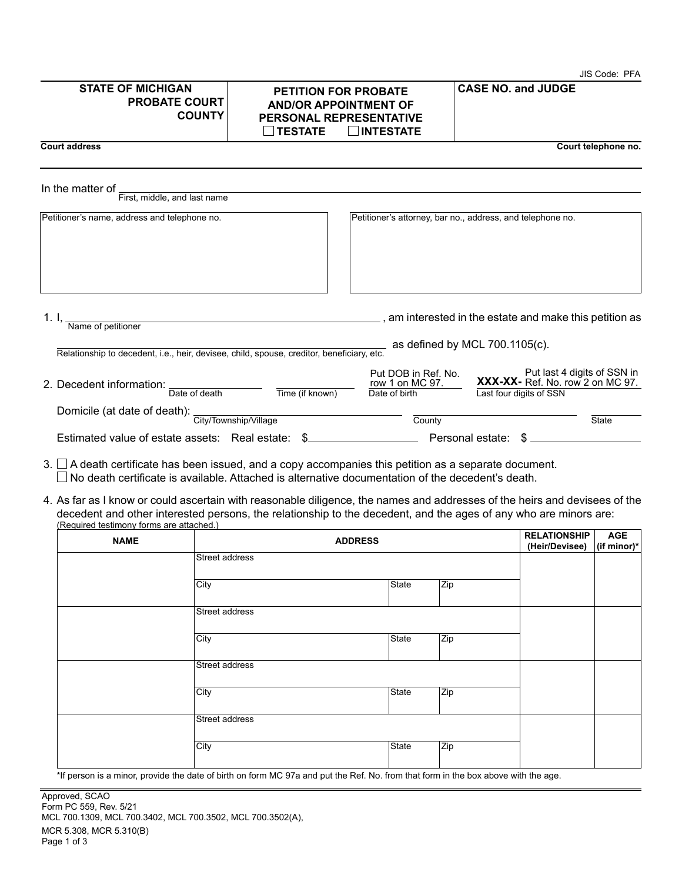|                                                                                           |                                                               |                                                                                                                   | JIS Code: PFA                                                                              |
|-------------------------------------------------------------------------------------------|---------------------------------------------------------------|-------------------------------------------------------------------------------------------------------------------|--------------------------------------------------------------------------------------------|
| <b>STATE OF MICHIGAN</b><br><b>PROBATE COURT</b><br><b>COUNTY</b>                         | <b>TESTATE</b>                                                | <b>PETITION FOR PROBATE</b><br><b>AND/OR APPOINTMENT OF</b><br><b>PERSONAL REPRESENTATIVE</b><br><b>INTESTATE</b> | <b>CASE NO. and JUDGE</b>                                                                  |
| <b>Court address</b>                                                                      |                                                               |                                                                                                                   | Court telephone no.                                                                        |
| In the matter of<br>First, middle, and last name                                          |                                                               |                                                                                                                   |                                                                                            |
| Petitioner's name, address and telephone no.                                              |                                                               |                                                                                                                   | Petitioner's attorney, bar no., address, and telephone no.                                 |
| Name of petitioner                                                                        | <u> 1989 - Johann Stein, mars an deutscher Stein († 1958)</u> |                                                                                                                   | $\_$ , am interested in the estate and make this petition as                               |
| Relationship to decedent, i.e., heir, devisee, child, spouse, creditor, beneficiary, etc. |                                                               |                                                                                                                   | as defined by MCL $700.1105(c)$ .                                                          |
| 2. Decedent information:<br>Date of death                                                 | Time (if known)                                               | Put DOB in Ref. No.<br>row 1 on MC 97.<br>Date of birth                                                           | Put last 4 digits of SSN in<br>XXX-XX- Ref. No. row 2 on MC 97.<br>Last four digits of SSN |
| Domicile (at date of death): City/Township/Village                                        |                                                               | County                                                                                                            | <b>State</b>                                                                               |
| Estimated value of estate assets: Real estate:<br>\$.                                     |                                                               |                                                                                                                   | Personal estate:<br>\$                                                                     |

 $3. \Box$  A death certificate has been issued, and a copy accompanies this petition as a separate document. No death certificate is available. Attached is alternative documentation of the decedent's death.

4. As far as I know or could ascertain with reasonable diligence, the names and addresses of the heirs and devisees of the decedent and other interested persons, the relationship to the decedent, and the ages of any who are minors are: (Required testimony forms are attached.)

| <b>NAME</b> | <b>ADDRESS</b>                                                                                                                        |              | <b>RELATIONSHIP</b><br>(Heir/Devisee) | <b>AGE</b><br>$ $ (if minor) $*$ |  |
|-------------|---------------------------------------------------------------------------------------------------------------------------------------|--------------|---------------------------------------|----------------------------------|--|
|             | Street address                                                                                                                        |              |                                       |                                  |  |
|             | City                                                                                                                                  | <b>State</b> | Zip                                   |                                  |  |
|             | Street address                                                                                                                        |              |                                       |                                  |  |
|             | City                                                                                                                                  | <b>State</b> | Zip                                   |                                  |  |
|             | Street address                                                                                                                        |              |                                       |                                  |  |
|             | City                                                                                                                                  | State        | Zip                                   |                                  |  |
|             | Street address                                                                                                                        |              |                                       |                                  |  |
|             | City                                                                                                                                  | <b>State</b> | Zip                                   |                                  |  |
|             | the paragraphic a miner provide the data of birth an farm MC 07e and put the Def. No. from that farm in the house house with the case |              |                                       |                                  |  |

\*If person is a minor, provide the date of birth on form MC 97a and put the Ref. No. from that form in the box above with the age.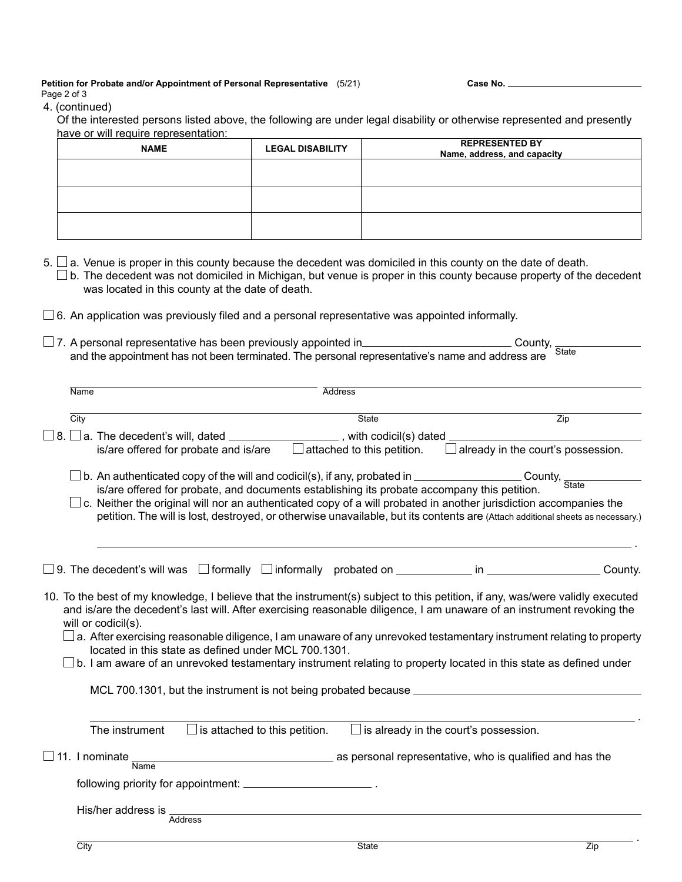## **Petition for Probate and/or Appointment of Personal Representative** (5/21) Page 2 of 3

**Case No.**

## 4. (continued)

Of the interested persons listed above, the following are under legal disability or otherwise represented and presently

|      | have or will require representation:                                                                                                                                                                          |                         | <b>REPRESENTED BY</b>                                                                                                                                                                                                                                                                                                                                                                  |  |
|------|---------------------------------------------------------------------------------------------------------------------------------------------------------------------------------------------------------------|-------------------------|----------------------------------------------------------------------------------------------------------------------------------------------------------------------------------------------------------------------------------------------------------------------------------------------------------------------------------------------------------------------------------------|--|
|      | <b>NAME</b>                                                                                                                                                                                                   | <b>LEGAL DISABILITY</b> | Name, address, and capacity                                                                                                                                                                                                                                                                                                                                                            |  |
|      |                                                                                                                                                                                                               |                         |                                                                                                                                                                                                                                                                                                                                                                                        |  |
|      |                                                                                                                                                                                                               |                         |                                                                                                                                                                                                                                                                                                                                                                                        |  |
|      |                                                                                                                                                                                                               |                         |                                                                                                                                                                                                                                                                                                                                                                                        |  |
|      |                                                                                                                                                                                                               |                         |                                                                                                                                                                                                                                                                                                                                                                                        |  |
|      |                                                                                                                                                                                                               |                         |                                                                                                                                                                                                                                                                                                                                                                                        |  |
|      |                                                                                                                                                                                                               |                         |                                                                                                                                                                                                                                                                                                                                                                                        |  |
|      | was located in this county at the date of death.                                                                                                                                                              |                         | $5. \Box$ a. Venue is proper in this county because the decedent was domiciled in this county on the date of death.<br>$\Box$ b. The decedent was not domiciled in Michigan, but venue is proper in this county because property of the decedent                                                                                                                                       |  |
|      |                                                                                                                                                                                                               |                         | $\Box$ 6. An application was previously filed and a personal representative was appointed informally.                                                                                                                                                                                                                                                                                  |  |
|      |                                                                                                                                                                                                               |                         |                                                                                                                                                                                                                                                                                                                                                                                        |  |
|      |                                                                                                                                                                                                               |                         | □ 7. A personal representative has been previously appointed in<br>□ 7. A personal representative has been previously appointed in<br>□<br><b>State</b>                                                                                                                                                                                                                                |  |
|      |                                                                                                                                                                                                               |                         | and the appointment has not been terminated. The personal representative's name and address are                                                                                                                                                                                                                                                                                        |  |
|      |                                                                                                                                                                                                               |                         |                                                                                                                                                                                                                                                                                                                                                                                        |  |
| Name |                                                                                                                                                                                                               | <b>Address</b>          |                                                                                                                                                                                                                                                                                                                                                                                        |  |
|      |                                                                                                                                                                                                               |                         |                                                                                                                                                                                                                                                                                                                                                                                        |  |
| City |                                                                                                                                                                                                               |                         | State<br>Zip                                                                                                                                                                                                                                                                                                                                                                           |  |
|      | $8. \Box$ a. The decedent's will, dated __________________, with codicil(s) dated _                                                                                                                           |                         |                                                                                                                                                                                                                                                                                                                                                                                        |  |
|      | is/are offered for probate and is/are                                                                                                                                                                         |                         | $\Box$ already in the court's possession.<br>$\Box$ attached to this petition.                                                                                                                                                                                                                                                                                                         |  |
|      |                                                                                                                                                                                                               |                         |                                                                                                                                                                                                                                                                                                                                                                                        |  |
|      |                                                                                                                                                                                                               |                         |                                                                                                                                                                                                                                                                                                                                                                                        |  |
|      | $\Box$ b. An authenticated copy of the will and codicil(s), if any, probated in _____________<br>County, State<br>is/are offered for probate, and documents establishing its probate accompany this petition. |                         |                                                                                                                                                                                                                                                                                                                                                                                        |  |
|      | $\square$ c. Neither the original will nor an authenticated copy of a will probated in another jurisdiction accompanies the                                                                                   |                         |                                                                                                                                                                                                                                                                                                                                                                                        |  |
|      |                                                                                                                                                                                                               |                         | petition. The will is lost, destroyed, or otherwise unavailable, but its contents are (Attach additional sheets as necessary.)                                                                                                                                                                                                                                                         |  |
|      |                                                                                                                                                                                                               |                         |                                                                                                                                                                                                                                                                                                                                                                                        |  |
|      |                                                                                                                                                                                                               |                         |                                                                                                                                                                                                                                                                                                                                                                                        |  |
|      |                                                                                                                                                                                                               |                         |                                                                                                                                                                                                                                                                                                                                                                                        |  |
|      |                                                                                                                                                                                                               |                         | $\square$ 9. The decedent's will was $\;\square$ formally $\;\square$ informally probated on $\_\_$ in $\_\_$ in $\_\_$                                                                                                                                                                                                                                                                |  |
|      |                                                                                                                                                                                                               |                         |                                                                                                                                                                                                                                                                                                                                                                                        |  |
|      | will or codicil(s).                                                                                                                                                                                           |                         | 10. To the best of my knowledge, I believe that the instrument(s) subject to this petition, if any, was/were validly executed<br>and is/are the decedent's last will. After exercising reasonable diligence, I am unaware of an instrument revoking the<br>$\Box$ a. After exercising reasonable diligence, I am unaware of any unrevoked testamentary instrument relating to property |  |
|      | located in this state as defined under MCL 700.1301.                                                                                                                                                          |                         |                                                                                                                                                                                                                                                                                                                                                                                        |  |
|      |                                                                                                                                                                                                               |                         | $\square$ b. I am aware of an unrevoked testamentary instrument relating to property located in this state as defined under                                                                                                                                                                                                                                                            |  |
|      |                                                                                                                                                                                                               |                         |                                                                                                                                                                                                                                                                                                                                                                                        |  |
|      | MCL 700.1301, but the instrument is not being probated because                                                                                                                                                |                         |                                                                                                                                                                                                                                                                                                                                                                                        |  |

| The instrument     | $\Box$ is attached to this petition. | $\Box$ is already in the court's possession.             |
|--------------------|--------------------------------------|----------------------------------------------------------|
| Name               | $\Box$ 11. I nominate $\_\_$         | as personal representative, who is qualified and has the |
|                    |                                      |                                                          |
| His/her address is | Address                              |                                                          |

.